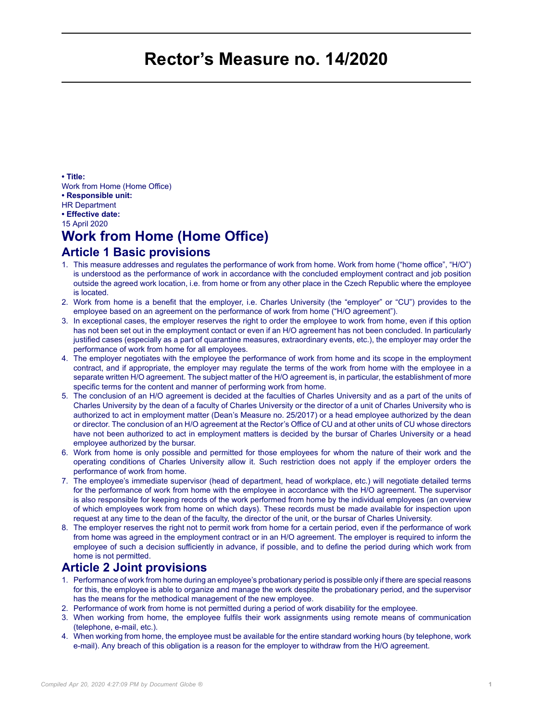# **Rector's Measure no. 14/2020**

**• Title:**

Work from Home (Home Office)

**• Responsible unit:**

HR Department

**• Effective date:**

15 April 2020

# **Work from Home (Home Office)**

#### **Article 1 Basic provisions**

- 1. This measure addresses and regulates the performance of work from home. Work from home ("home office", "H/O") is understood as the performance of work in accordance with the concluded employment contract and job position outside the agreed work location, i.e. from home or from any other place in the Czech Republic where the employee is located.
- 2. Work from home is a benefit that the employer, i.e. Charles University (the "employer" or "CU") provides to the employee based on an agreement on the performance of work from home ("H/O agreement").
- 3. In exceptional cases, the employer reserves the right to order the employee to work from home, even if this option has not been set out in the employment contact or even if an H/O agreement has not been concluded. In particularly justified cases (especially as a part of quarantine measures, extraordinary events, etc.), the employer may order the performance of work from home for all employees.
- 4. The employer negotiates with the employee the performance of work from home and its scope in the employment contract, and if appropriate, the employer may regulate the terms of the work from home with the employee in a separate written H/O agreement. The subject matter of the H/O agreement is, in particular, the establishment of more specific terms for the content and manner of performing work from home.
- 5. The conclusion of an H/O agreement is decided at the faculties of Charles University and as a part of the units of Charles University by the dean of a faculty of Charles University or the director of a unit of Charles University who is authorized to act in employment matter (Dean's Measure no. 25/2017) or a head employee authorized by the dean or director. The conclusion of an H/O agreement at the Rector's Office of CU and at other units of CU whose directors have not been authorized to act in employment matters is decided by the bursar of Charles University or a head employee authorized by the bursar.
- 6. Work from home is only possible and permitted for those employees for whom the nature of their work and the operating conditions of Charles University allow it. Such restriction does not apply if the employer orders the performance of work from home.
- 7. The employee's immediate supervisor (head of department, head of workplace, etc.) will negotiate detailed terms for the performance of work from home with the employee in accordance with the H/O agreement. The supervisor is also responsible for keeping records of the work performed from home by the individual employees (an overview of which employees work from home on which days). These records must be made available for inspection upon request at any time to the dean of the faculty, the director of the unit, or the bursar of Charles University.
- 8. The employer reserves the right not to permit work from home for a certain period, even if the performance of work from home was agreed in the employment contract or in an H/O agreement. The employer is required to inform the employee of such a decision sufficiently in advance, if possible, and to define the period during which work from home is not permitted.

#### **Article 2 Joint provisions**

- 1. Performance of work from home during an employee's probationary period is possible only if there are special reasons for this, the employee is able to organize and manage the work despite the probationary period, and the supervisor has the means for the methodical management of the new employee.
- 2. Performance of work from home is not permitted during a period of work disability for the employee.
- 3. When working from home, the employee fulfils their work assignments using remote means of communication (telephone, e-mail, etc.).
- 4. When working from home, the employee must be available for the entire standard working hours (by telephone, work e-mail). Any breach of this obligation is a reason for the employer to withdraw from the H/O agreement.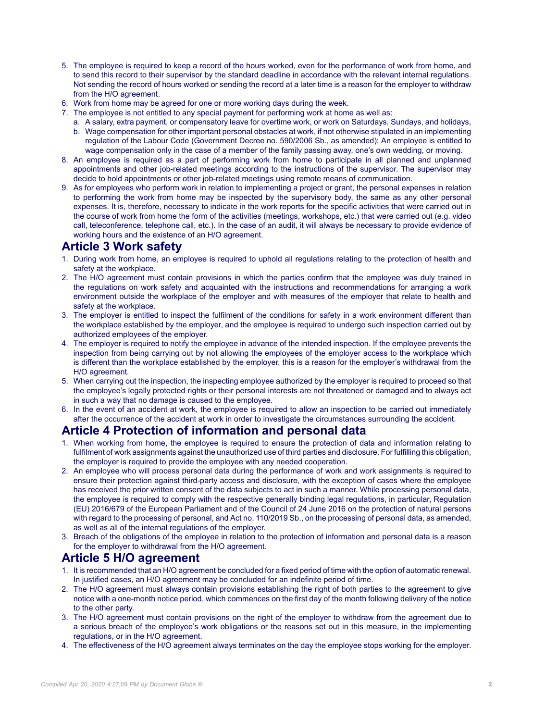- 5. The employee is required to keep a record of the hours worked, even for the performance of work from home, and to send this record to their supervisor by the standard deadline in accordance with the relevant internal regulations. Not sending the record of hours worked or sending the record at a later time is a reason for the employer to withdraw from the H/O agreement.
- 6. Work from home may be agreed for one or more working days during the week.
- 7. The employee is not entitled to any special payment for performing work at home as well as:
	- a. A salary, extra payment, or compensatory leave for overtime work, or work on Saturdays, Sundays, and holidays,
	- b. Wage compensation for other important personal obstacles at work, if not otherwise stipulated in an implementing regulation of the Labour Code (Government Decree no. 590/2006 Sb., as amended); An employee is entitled to wage compensation only in the case of a member of the family passing away, one's own wedding, or moving.
- 8. An employee is required as a part of performing work from home to participate in all planned and unplanned appointments and other job-related meetings according to the instructions of the supervisor. The supervisor may decide to hold appointments or other job-related meetings using remote means of communication.
- 9. As for employees who perform work in relation to implementing a project or grant, the personal expenses in relation to performing the work from home may be inspected by the supervisory body, the same as any other personal expenses. It is, therefore, necessary to indicate in the work reports for the specific activities that were carried out in the course of work from home the form of the activities (meetings, workshops, etc.) that were carried out (e.g. video call, teleconference, telephone call, etc.). In the case of an audit, it will always be necessary to provide evidence of working hours and the existence of an H/O agreement.

## **Article 3 Work safety**

- 1. During work from home, an employee is required to uphold all regulations relating to the protection of health and safety at the workplace.
- 2. The H/O agreement must contain provisions in which the parties confirm that the employee was duly trained in the regulations on work safety and acquainted with the instructions and recommendations for arranging a work environment outside the workplace of the employer and with measures of the employer that relate to health and safety at the workplace.
- 3. The employer is entitled to inspect the fulfilment of the conditions for safety in a work environment different than the workplace established by the employer, and the employee is required to undergo such inspection carried out by authorized employees of the employer.
- 4. The employer is required to notify the employee in advance of the intended inspection. If the employee prevents the inspection from being carrying out by not allowing the employees of the employer access to the workplace which is different than the workplace established by the employer, this is a reason for the employer's withdrawal from the H/O agreement.
- 5. When carrying out the inspection, the inspecting employee authorized by the employer is required to proceed so that the employee's legally protected rights or their personal interests are not threatened or damaged and to always act in such a way that no damage is caused to the employee.
- 6. In the event of an accident at work, the employee is required to allow an inspection to be carried out immediately after the occurrence of the accident at work in order to investigate the circumstances surrounding the accident.

### **Article 4 Protection of information and personal data**

- 1. When working from home, the employee is required to ensure the protection of data and information relating to fulfilment of work assignments against the unauthorized use of third parties and disclosure. For fulfilling this obligation, the employer is required to provide the employee with any needed cooperation.
- 2. An employee who will process personal data during the performance of work and work assignments is required to ensure their protection against third-party access and disclosure, with the exception of cases where the employee has received the prior written consent of the data subjects to act in such a manner. While processing personal data, the employee is required to comply with the respective generally binding legal regulations, in particular, Regulation (EU) 2016/679 of the European Parliament and of the Council of 24 June 2016 on the protection of natural persons with regard to the processing of personal, and Act no. 110/2019 Sb., on the processing of personal data, as amended, as well as all of the internal regulations of the employer.
- 3. Breach of the obligations of the employee in relation to the protection of information and personal data is a reason for the employer to withdrawal from the H/O agreement.

### **Article 5 H/O agreement**

- 1. It is recommended that an H/O agreement be concluded for a fixed period of time with the option of automatic renewal. In justified cases, an H/O agreement may be concluded for an indefinite period of time.
- 2. The H/O agreement must always contain provisions establishing the right of both parties to the agreement to give notice with a one-month notice period, which commences on the first day of the month following delivery of the notice to the other party.
- 3. The H/O agreement must contain provisions on the right of the employer to withdraw from the agreement due to a serious breach of the employee's work obligations or the reasons set out in this measure, in the implementing regulations, or in the H/O agreement.
- 4. The effectiveness of the H/O agreement always terminates on the day the employee stops working for the employer.